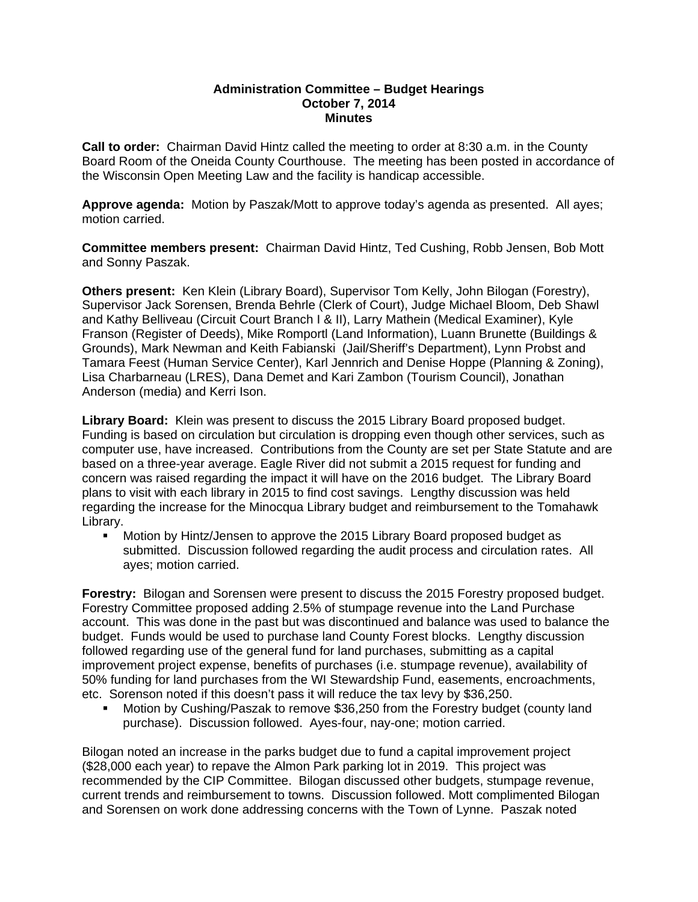## **Administration Committee – Budget Hearings October 7, 2014 Minutes**

**Call to order:** Chairman David Hintz called the meeting to order at 8:30 a.m. in the County Board Room of the Oneida County Courthouse. The meeting has been posted in accordance of the Wisconsin Open Meeting Law and the facility is handicap accessible.

**Approve agenda:** Motion by Paszak/Mott to approve today's agenda as presented. All ayes; motion carried.

**Committee members present:** Chairman David Hintz, Ted Cushing, Robb Jensen, Bob Mott and Sonny Paszak.

**Others present:** Ken Klein (Library Board), Supervisor Tom Kelly, John Bilogan (Forestry), Supervisor Jack Sorensen, Brenda Behrle (Clerk of Court), Judge Michael Bloom, Deb Shawl and Kathy Belliveau (Circuit Court Branch I & II), Larry Mathein (Medical Examiner), Kyle Franson (Register of Deeds), Mike Romportl (Land Information), Luann Brunette (Buildings & Grounds), Mark Newman and Keith Fabianski (Jail/Sheriff's Department), Lynn Probst and Tamara Feest (Human Service Center), Karl Jennrich and Denise Hoppe (Planning & Zoning), Lisa Charbarneau (LRES), Dana Demet and Kari Zambon (Tourism Council), Jonathan Anderson (media) and Kerri Ison.

**Library Board:** Klein was present to discuss the 2015 Library Board proposed budget. Funding is based on circulation but circulation is dropping even though other services, such as computer use, have increased. Contributions from the County are set per State Statute and are based on a three-year average. Eagle River did not submit a 2015 request for funding and concern was raised regarding the impact it will have on the 2016 budget. The Library Board plans to visit with each library in 2015 to find cost savings. Lengthy discussion was held regarding the increase for the Minocqua Library budget and reimbursement to the Tomahawk Library.

 Motion by Hintz/Jensen to approve the 2015 Library Board proposed budget as submitted. Discussion followed regarding the audit process and circulation rates. All ayes; motion carried.

**Forestry:** Bilogan and Sorensen were present to discuss the 2015 Forestry proposed budget. Forestry Committee proposed adding 2.5% of stumpage revenue into the Land Purchase account. This was done in the past but was discontinued and balance was used to balance the budget. Funds would be used to purchase land County Forest blocks. Lengthy discussion followed regarding use of the general fund for land purchases, submitting as a capital improvement project expense, benefits of purchases (i.e. stumpage revenue), availability of 50% funding for land purchases from the WI Stewardship Fund, easements, encroachments, etc. Sorenson noted if this doesn't pass it will reduce the tax levy by \$36,250.

 Motion by Cushing/Paszak to remove \$36,250 from the Forestry budget (county land purchase). Discussion followed. Ayes-four, nay-one; motion carried.

Bilogan noted an increase in the parks budget due to fund a capital improvement project (\$28,000 each year) to repave the Almon Park parking lot in 2019. This project was recommended by the CIP Committee. Bilogan discussed other budgets, stumpage revenue, current trends and reimbursement to towns. Discussion followed. Mott complimented Bilogan and Sorensen on work done addressing concerns with the Town of Lynne. Paszak noted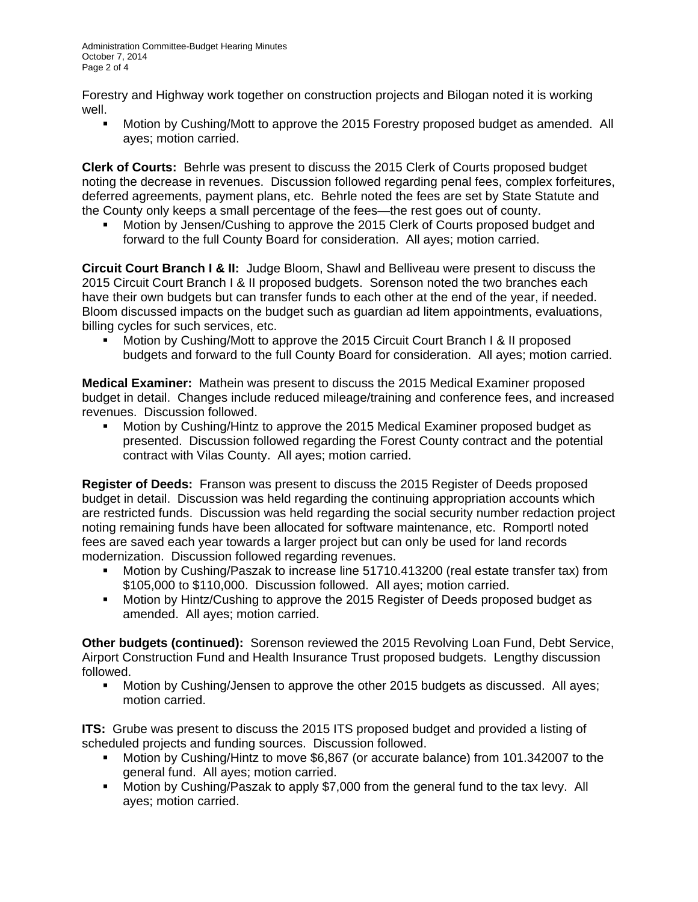Forestry and Highway work together on construction projects and Bilogan noted it is working well.

**Motion by Cushing/Mott to approve the 2015 Forestry proposed budget as amended. All** ayes; motion carried.

**Clerk of Courts:** Behrle was present to discuss the 2015 Clerk of Courts proposed budget noting the decrease in revenues. Discussion followed regarding penal fees, complex forfeitures, deferred agreements, payment plans, etc. Behrle noted the fees are set by State Statute and the County only keeps a small percentage of the fees—the rest goes out of county.

 Motion by Jensen/Cushing to approve the 2015 Clerk of Courts proposed budget and forward to the full County Board for consideration. All ayes; motion carried.

**Circuit Court Branch I & II:** Judge Bloom, Shawl and Belliveau were present to discuss the 2015 Circuit Court Branch I & II proposed budgets. Sorenson noted the two branches each have their own budgets but can transfer funds to each other at the end of the year, if needed. Bloom discussed impacts on the budget such as guardian ad litem appointments, evaluations, billing cycles for such services, etc.

 Motion by Cushing/Mott to approve the 2015 Circuit Court Branch I & II proposed budgets and forward to the full County Board for consideration. All ayes; motion carried.

**Medical Examiner:** Mathein was present to discuss the 2015 Medical Examiner proposed budget in detail. Changes include reduced mileage/training and conference fees, and increased revenues. Discussion followed.

 Motion by Cushing/Hintz to approve the 2015 Medical Examiner proposed budget as presented. Discussion followed regarding the Forest County contract and the potential contract with Vilas County. All ayes; motion carried.

**Register of Deeds:** Franson was present to discuss the 2015 Register of Deeds proposed budget in detail. Discussion was held regarding the continuing appropriation accounts which are restricted funds. Discussion was held regarding the social security number redaction project noting remaining funds have been allocated for software maintenance, etc. Romportl noted fees are saved each year towards a larger project but can only be used for land records modernization. Discussion followed regarding revenues.

- Motion by Cushing/Paszak to increase line 51710.413200 (real estate transfer tax) from \$105,000 to \$110,000. Discussion followed. All ayes; motion carried.
- Motion by Hintz/Cushing to approve the 2015 Register of Deeds proposed budget as amended. All ayes; motion carried.

**Other budgets (continued):** Sorenson reviewed the 2015 Revolving Loan Fund, Debt Service, Airport Construction Fund and Health Insurance Trust proposed budgets. Lengthy discussion followed.

 Motion by Cushing/Jensen to approve the other 2015 budgets as discussed. All ayes; motion carried.

**ITS:** Grube was present to discuss the 2015 ITS proposed budget and provided a listing of scheduled projects and funding sources. Discussion followed.

- Motion by Cushing/Hintz to move \$6,867 (or accurate balance) from 101.342007 to the general fund. All ayes; motion carried.
- Motion by Cushing/Paszak to apply \$7,000 from the general fund to the tax levy. All ayes; motion carried.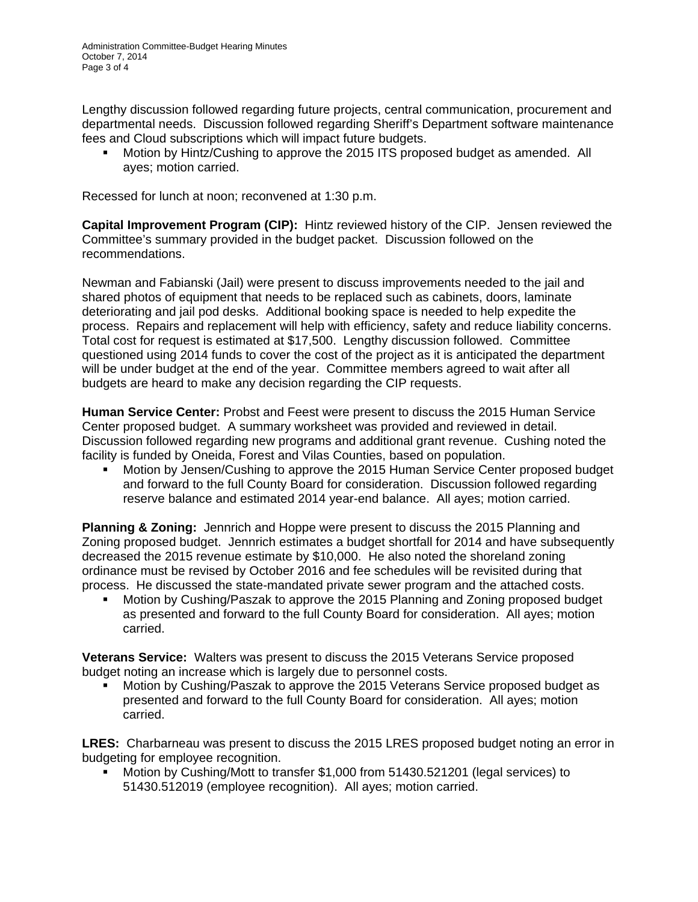Lengthy discussion followed regarding future projects, central communication, procurement and departmental needs. Discussion followed regarding Sheriff's Department software maintenance fees and Cloud subscriptions which will impact future budgets.

 Motion by Hintz/Cushing to approve the 2015 ITS proposed budget as amended. All ayes; motion carried.

Recessed for lunch at noon; reconvened at 1:30 p.m.

**Capital Improvement Program (CIP):** Hintz reviewed history of the CIP. Jensen reviewed the Committee's summary provided in the budget packet. Discussion followed on the recommendations.

Newman and Fabianski (Jail) were present to discuss improvements needed to the jail and shared photos of equipment that needs to be replaced such as cabinets, doors, laminate deteriorating and jail pod desks. Additional booking space is needed to help expedite the process. Repairs and replacement will help with efficiency, safety and reduce liability concerns. Total cost for request is estimated at \$17,500. Lengthy discussion followed. Committee questioned using 2014 funds to cover the cost of the project as it is anticipated the department will be under budget at the end of the year. Committee members agreed to wait after all budgets are heard to make any decision regarding the CIP requests.

**Human Service Center:** Probst and Feest were present to discuss the 2015 Human Service Center proposed budget. A summary worksheet was provided and reviewed in detail. Discussion followed regarding new programs and additional grant revenue. Cushing noted the facility is funded by Oneida, Forest and Vilas Counties, based on population.

 Motion by Jensen/Cushing to approve the 2015 Human Service Center proposed budget and forward to the full County Board for consideration. Discussion followed regarding reserve balance and estimated 2014 year-end balance. All ayes; motion carried.

**Planning & Zoning:** Jennrich and Hoppe were present to discuss the 2015 Planning and Zoning proposed budget. Jennrich estimates a budget shortfall for 2014 and have subsequently decreased the 2015 revenue estimate by \$10,000. He also noted the shoreland zoning ordinance must be revised by October 2016 and fee schedules will be revisited during that process. He discussed the state-mandated private sewer program and the attached costs.

 Motion by Cushing/Paszak to approve the 2015 Planning and Zoning proposed budget as presented and forward to the full County Board for consideration. All ayes; motion carried.

**Veterans Service:** Walters was present to discuss the 2015 Veterans Service proposed budget noting an increase which is largely due to personnel costs.

 Motion by Cushing/Paszak to approve the 2015 Veterans Service proposed budget as presented and forward to the full County Board for consideration. All ayes; motion carried.

**LRES:** Charbarneau was present to discuss the 2015 LRES proposed budget noting an error in budgeting for employee recognition.

 Motion by Cushing/Mott to transfer \$1,000 from 51430.521201 (legal services) to 51430.512019 (employee recognition). All ayes; motion carried.